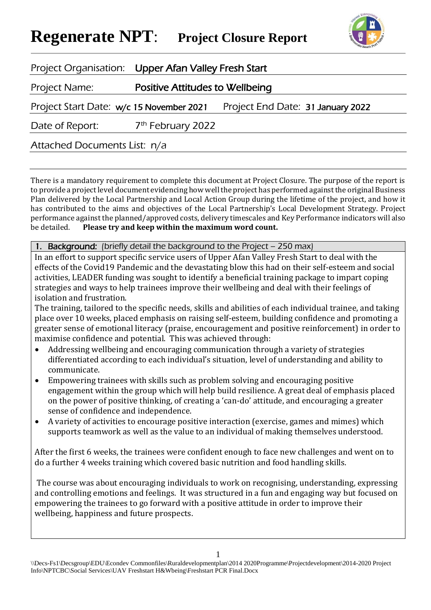# **Regenerate NPT**: **Project Closure Report**



| Project Organisation: Upper Afan Valley Fresh Start |                                        |                                   |  |
|-----------------------------------------------------|----------------------------------------|-----------------------------------|--|
| Project Name:                                       | <b>Positive Attitudes to Wellbeing</b> |                                   |  |
| Project Start Date: w/c 15 November 2021            |                                        | Project End Date: 31 January 2022 |  |
| Date of Report:                                     | 7 <sup>th</sup> February 2022          |                                   |  |
| Attached Documents List: n/a                        |                                        |                                   |  |

There is a mandatory requirement to complete this document at Project Closure. The purpose of the report is to provide a project level document evidencing how well the project has performed against the original Business Plan delivered by the Local Partnership and Local Action Group during the lifetime of the project, and how it has contributed to the aims and objectives of the Local Partnership's Local Development Strategy. Project performance against the planned/approved costs, delivery timescales and Key Performance indicators will also be detailed. **Please try and keep within the maximum word count.**

#### Background: (briefly detail the background to the Project – 250 max)

In an effort to support specific service users of Upper Afan Valley Fresh Start to deal with the effects of the Covid19 Pandemic and the devastating blow this had on their self-esteem and social activities, LEADER funding was sought to identify a beneficial training package to impart coping strategies and ways to help trainees improve their wellbeing and deal with their feelings of isolation and frustration.

The training, tailored to the specific needs, skills and abilities of each individual trainee, and taking place over 10 weeks, placed emphasis on raising self-esteem, building confidence and promoting a greater sense of emotional literacy (praise, encouragement and positive reinforcement) in order to maximise confidence and potential. This was achieved through:

- Addressing wellbeing and encouraging communication through a variety of strategies differentiated according to each individual's situation, level of understanding and ability to communicate.
- Empowering trainees with skills such as problem solving and encouraging positive engagement within the group which will help build resilience. A great deal of emphasis placed on the power of positive thinking, of creating a 'can-do' attitude, and encouraging a greater sense of confidence and independence.
- A variety of activities to encourage positive interaction (exercise, games and mimes) which supports teamwork as well as the value to an individual of making themselves understood.

After the first 6 weeks, the trainees were confident enough to face new challenges and went on to do a further 4 weeks training which covered basic nutrition and food handling skills.

The course was about encouraging individuals to work on recognising, understanding, expressing and controlling emotions and feelings. It was structured in a fun and engaging way but focused on empowering the trainees to go forward with a positive attitude in order to improve their wellbeing, happiness and future prospects.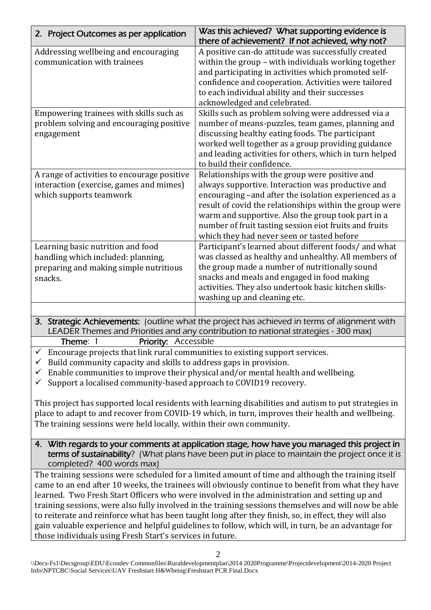| 2. Project Outcomes as per application                                                                                                                                                                                                                                                                                                                                                                                                                                                                                                                                                                                                                                                                                                                                                                                                           | Was this achieved? What supporting evidence is<br>there of achievement? If not achieved, why not?                                                                                                                                                                                                                                                                                     |  |
|--------------------------------------------------------------------------------------------------------------------------------------------------------------------------------------------------------------------------------------------------------------------------------------------------------------------------------------------------------------------------------------------------------------------------------------------------------------------------------------------------------------------------------------------------------------------------------------------------------------------------------------------------------------------------------------------------------------------------------------------------------------------------------------------------------------------------------------------------|---------------------------------------------------------------------------------------------------------------------------------------------------------------------------------------------------------------------------------------------------------------------------------------------------------------------------------------------------------------------------------------|--|
| Addressing wellbeing and encouraging<br>communication with trainees                                                                                                                                                                                                                                                                                                                                                                                                                                                                                                                                                                                                                                                                                                                                                                              | A positive can-do attitude was successfully created<br>within the group - with individuals working together<br>and participating in activities which promoted self-<br>confidence and cooperation. Activities were tailored<br>to each individual ability and their successes<br>acknowledged and celebrated.                                                                         |  |
| Empowering trainees with skills such as<br>problem solving and encouraging positive<br>engagement                                                                                                                                                                                                                                                                                                                                                                                                                                                                                                                                                                                                                                                                                                                                                | Skills such as problem solving were addressed via a<br>number of means-puzzles, team games, planning and<br>discussing healthy eating foods. The participant<br>worked well together as a group providing guidance<br>and leading activities for others, which in turn helped<br>to build their confidence.                                                                           |  |
| A range of activities to encourage positive<br>interaction (exercise, games and mimes)<br>which supports teamwork                                                                                                                                                                                                                                                                                                                                                                                                                                                                                                                                                                                                                                                                                                                                | Relationships with the group were positive and<br>always supportive. Interaction was productive and<br>encouraging -and after the isolation experienced as a<br>result of covid the relationships within the group were<br>warm and supportive. Also the group took part in a<br>number of fruit tasting session eiot fruits and fruits<br>which they had never seen or tasted before |  |
| Learning basic nutrition and food<br>handling which included: planning,<br>preparing and making simple nutritious<br>snacks.                                                                                                                                                                                                                                                                                                                                                                                                                                                                                                                                                                                                                                                                                                                     | Participant's learned about different foods/ and what<br>was classed as healthy and unhealthy. All members of<br>the group made a number of nutritionally sound<br>snacks and meals and engaged in food making<br>activities. They also undertook basic kitchen skills-<br>washing up and cleaning etc.                                                                               |  |
|                                                                                                                                                                                                                                                                                                                                                                                                                                                                                                                                                                                                                                                                                                                                                                                                                                                  | 3. Strategic Achievements: (outline what the project has achieved in terms of alignment with                                                                                                                                                                                                                                                                                          |  |
| LEADER Themes and Priorities and any contribution to national strategies - 300 max)<br>Theme: 1<br><b>Priority: Accessible</b><br>Encourage projects that link rural communities to existing support services.<br>Build community capacity and skills to address gaps in provision.<br>Enable communities to improve their physical and/or mental health and wellbeing.<br>$\checkmark$<br>Support a localised community-based approach to COVID19 recovery.<br>This project has supported local residents with learning disabilities and autism to put strategies in<br>place to adapt to and recover from COVID-19 which, in turn, improves their health and wellbeing.<br>The training sessions were held locally, within their own community.<br>4. With regards to your comments at application stage, how have you managed this project in |                                                                                                                                                                                                                                                                                                                                                                                       |  |

terms of sustainability? (What plans have been put in place to maintain the project once it is completed? 400 words max)

The training sessions were scheduled for a limited amount of time and although the training itself came to an end after 10 weeks, the trainees will obviously continue to benefit from what they have learned. Two Fresh Start Officers who were involved in the administration and setting up and training sessions, were also fully involved in the training sessions themselves and will now be able to reiterate and reinforce what has been taught long after they finish, so, in effect, they will also gain valuable experience and helpful guidelines to follow, which will, in turn, be an advantage for those individuals using Fresh Start's services in future.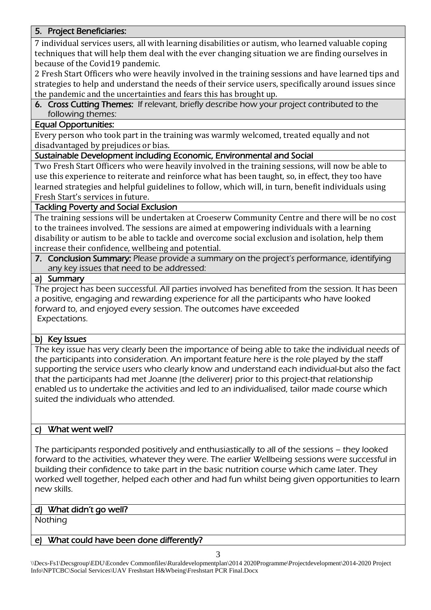# 5. Project Beneficiaries:

7 individual services users, all with learning disabilities or autism, who learned valuable coping techniques that will help them deal with the ever changing situation we are finding ourselves in because of the Covid19 pandemic.

2 Fresh Start Officers who were heavily involved in the training sessions and have learned tips and strategies to help and understand the needs of their service users, specifically around issues since the pandemic and the uncertainties and fears this has brought up.

6. Cross Cutting Themes: If relevant, briefly describe how your project contributed to the following themes:

## Equal Opportunities:

Every person who took part in the training was warmly welcomed, treated equally and not disadvantaged by prejudices or bias.

### Sustainable Development including Economic, Environmental and Social

Two Fresh Start Officers who were heavily involved in the training sessions, will now be able to use this experience to reiterate and reinforce what has been taught, so, in effect, they too have learned strategies and helpful guidelines to follow, which will, in turn, benefit individuals using Fresh Start's services in future.

### Tackling Poverty and Social Exclusion

The training sessions will be undertaken at Croeserw Community Centre and there will be no cost to the trainees involved. The sessions are aimed at empowering individuals with a learning disability or autism to be able to tackle and overcome social exclusion and isolation, help them increase their confidence, wellbeing and potential.

7. Conclusion Summary: Please provide a summary on the project's performance, identifying any key issues that need to be addressed:

### a) Summary

The project has been successful. All parties involved has benefited from the session. It has been a positive, engaging and rewarding experience for all the participants who have looked forward to, and enjoyed every session. The outcomes have exceeded Expectations.

#### b) Key Issues

The key issue has very clearly been the importance of being able to take the individual needs of the participants into consideration. An important feature here is the role played by the staff supporting the service users who clearly know and understand each individual-but also the fact that the participants had met Joanne (the deliverer) prior to this project-that relationship enabled us to undertake the activities and led to an individualised, tailor made course which suited the individuals who attended.

# c) What went well?

The participants responded positively and enthusiastically to all of the sessions – they looked forward to the activities, whatever they were. The earlier Wellbeing sessions were successful in building their confidence to take part in the basic nutrition course which came later. They worked well together, helped each other and had fun whilst being given opportunities to learn new skills.

#### d) What didn't go well?

**Nothing** 

#### What could have been done differently?

\\Decs-Fs1\Decsgroup\EDU\Econdev Commonfiles\Ruraldevelopmentplan\2014 2020Programme\Projectdevelopment\2014-2020 Project Info\NPTCBC\Social Services\UAV Freshstart H&Wbeing\Freshstart PCR Final.Docx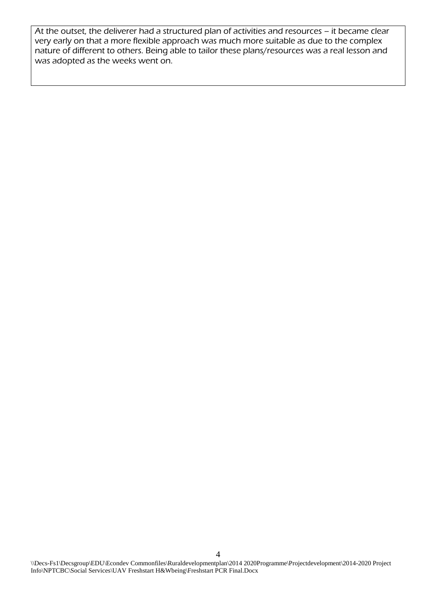At the outset, the deliverer had a structured plan of activities and resources – it became clear very early on that a more flexible approach was much more suitable as due to the complex nature of different to others. Being able to tailor these plans/resources was a real lesson and was adopted as the weeks went on.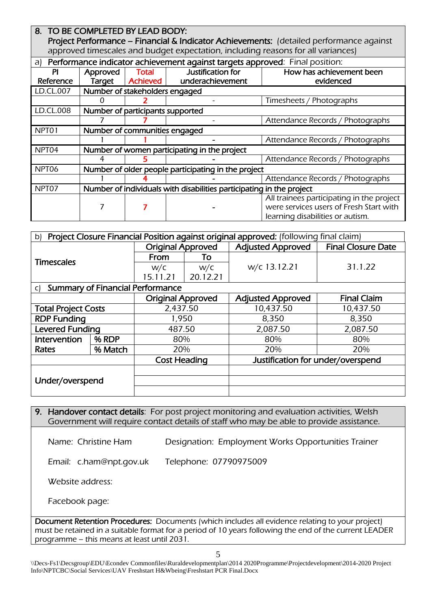| 8. TO BE COMPLETED BY LEAD BODY:                                                        |                                                                      |                 |                   |                                           |  |
|-----------------------------------------------------------------------------------------|----------------------------------------------------------------------|-----------------|-------------------|-------------------------------------------|--|
| Project Performance - Financial & Indicator Achievements: (detailed performance against |                                                                      |                 |                   |                                           |  |
| approved timescales and budget expectation, including reasons for all variances)        |                                                                      |                 |                   |                                           |  |
| Performance indicator achievement against targets approved: Final position:<br>a)       |                                                                      |                 |                   |                                           |  |
| <b>PI</b>                                                                               | Approved                                                             | Total           | Justification for | How has achievement been                  |  |
| Reference                                                                               | Target                                                               | <b>Achieved</b> | underachievement  | evidenced                                 |  |
| LD.CL.007                                                                               | Number of stakeholders engaged                                       |                 |                   |                                           |  |
|                                                                                         |                                                                      |                 |                   | Timesheets / Photographs                  |  |
| LD.CL.008                                                                               | Number of participants supported                                     |                 |                   |                                           |  |
|                                                                                         |                                                                      |                 |                   | Attendance Records / Photographs          |  |
| NPT <sub>01</sub>                                                                       | Number of communities engaged                                        |                 |                   |                                           |  |
|                                                                                         |                                                                      |                 |                   | Attendance Records / Photographs          |  |
| NPT <sub>04</sub>                                                                       | Number of women participating in the project                         |                 |                   |                                           |  |
|                                                                                         |                                                                      |                 |                   | Attendance Records / Photographs          |  |
| NPT06                                                                                   | Number of older people participating in the project                  |                 |                   |                                           |  |
|                                                                                         |                                                                      |                 |                   | Attendance Records / Photographs          |  |
| NPT07                                                                                   | Number of individuals with disabilities participating in the project |                 |                   |                                           |  |
|                                                                                         |                                                                      |                 |                   | All trainees participating in the project |  |
|                                                                                         |                                                                      |                 |                   | were services users of Fresh Start with   |  |
|                                                                                         |                                                                      |                 |                   | learning disabilities or autism.          |  |

| Project Closure Financial Position against original approved: (following final claim)<br>b) |         |                          |          |                                   |                           |
|---------------------------------------------------------------------------------------------|---------|--------------------------|----------|-----------------------------------|---------------------------|
| <b>Timescales</b>                                                                           |         | <b>Original Approved</b> |          | <b>Adjusted Approved</b>          | <b>Final Closure Date</b> |
|                                                                                             |         | From                     | To       | w/c 13.12.21                      | 31.1.22                   |
|                                                                                             |         | W/C                      | W/C      |                                   |                           |
|                                                                                             |         | 15.11.21                 | 20.12.21 |                                   |                           |
| <b>Summary of Financial Performance</b><br>C)                                               |         |                          |          |                                   |                           |
|                                                                                             |         | <b>Original Approved</b> |          | <b>Adjusted Approved</b>          | <b>Final Claim</b>        |
| <b>Total Project Costs</b>                                                                  |         | 2,437.50                 |          | 10,437.50                         | 10,437.50                 |
| <b>RDP Funding</b>                                                                          |         | 1,950                    |          | 8,350                             | 8,350                     |
| <b>Levered Funding</b>                                                                      |         | 487.50                   |          | 2,087.50                          | 2,087.50                  |
| Intervention                                                                                | % RDP   | 80%                      |          | 80%                               | 80%                       |
| Rates                                                                                       | % Match | 20%                      |          | 20%                               | 20%                       |
|                                                                                             |         | <b>Cost Heading</b>      |          | Justification for under/overspend |                           |
|                                                                                             |         |                          |          |                                   |                           |
| Under/overspend                                                                             |         |                          |          |                                   |                           |
|                                                                                             |         |                          |          |                                   |                           |

# 9. Handover contact details: For post project monitoring and evaluation activities, Welsh Government will require contact details of staff who may be able to provide assistance.

Name: Christine Ham Designation: Employment Works Opportunities Trainer

Email: c.ham@npt.gov.uk Telephone: 07790975009

Website address:

Facebook page:

Document Retention Procedures: Documents (which includes all evidence relating to your project) must be retained in a suitable format for a period of 10 years following the end of the current LEADER programme – this means at least until 2031.

\\Decs-Fs1\Decsgroup\EDU\Econdev Commonfiles\Ruraldevelopmentplan\2014 2020Programme\Projectdevelopment\2014-2020 Project Info\NPTCBC\Social Services\UAV Freshstart H&Wbeing\Freshstart PCR Final.Docx